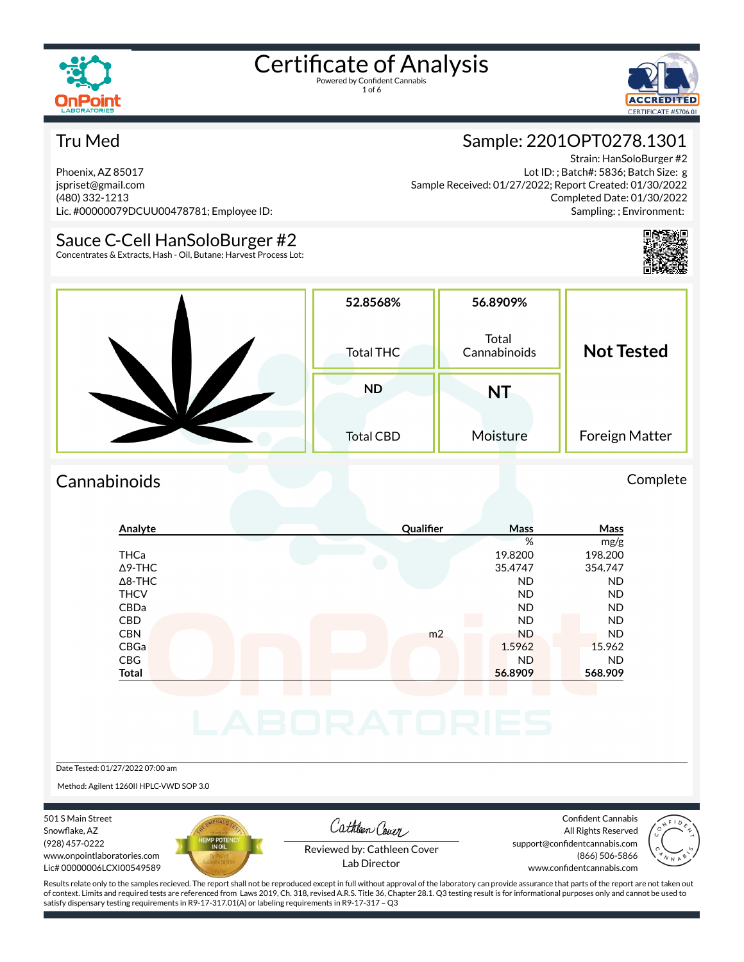



#### Tru Med

Phoenix, AZ 85017 jspriset@gmail.com (480) 332-1213 Lic. #00000079DCUU00478781; Employee ID:

#### Sauce C-Cell HanSoloBurger #2

Concentrates & Extracts, Hash - Oil, Butane; Harvest Process Lot:

#### Sample: 2201OPT0278.1301

Strain: HanSoloBurger #2 Lot ID: ; Batch#: 5836; Batch Size: g Sample Received: 01/27/2022; Report Created: 01/30/2022 Completed Date: 01/30/2022 Sampling: ; Environment:



| 52.8568%<br><b>Total THC</b>  | 56.8909%<br>Total<br>Cannabinoids | <b>Not Tested</b> |
|-------------------------------|-----------------------------------|-------------------|
| <b>ND</b><br><b>Total CBD</b> | NT<br>Moisture                    | Foreign Matter    |

#### Cannabinoids Complete

| Analyte        | Qualifier      | Mass      | Mass      |
|----------------|----------------|-----------|-----------|
|                |                | %         | mg/g      |
| <b>THCa</b>    |                | 19.8200   | 198.200   |
| $\Delta$ 9-THC |                | 35.4747   | 354.747   |
| $\Delta$ 8-THC |                | <b>ND</b> | <b>ND</b> |
| <b>THCV</b>    |                | <b>ND</b> | <b>ND</b> |
| CBDa           |                | <b>ND</b> | <b>ND</b> |
| CBD            | a s            | <b>ND</b> | <b>ND</b> |
| <b>CBN</b>     | m <sub>2</sub> | <b>ND</b> | <b>ND</b> |
| CBGa           |                | 1.5962    | 15.962    |
| <b>CBG</b>     |                | <b>ND</b> | <b>ND</b> |
| <b>Total</b>   |                | 56.8909   | 568.909   |
|                |                |           |           |

Date Tested: 01/27/2022 07:00 am

Method: Agilent 1260II HPLC-VWD SOP 3.0

501 S Main Street Snowflake, AZ (928) 457-0222 www.onpointlaboratories.com Lic# 00000006LCXI00549589



Cathleen Cover

Confident Cannabis All Rights Reserved support@confidentcannabis.com (866) 506-5866



Reviewed by: Cathleen Cover Lab Director

www.confidentcannabis.com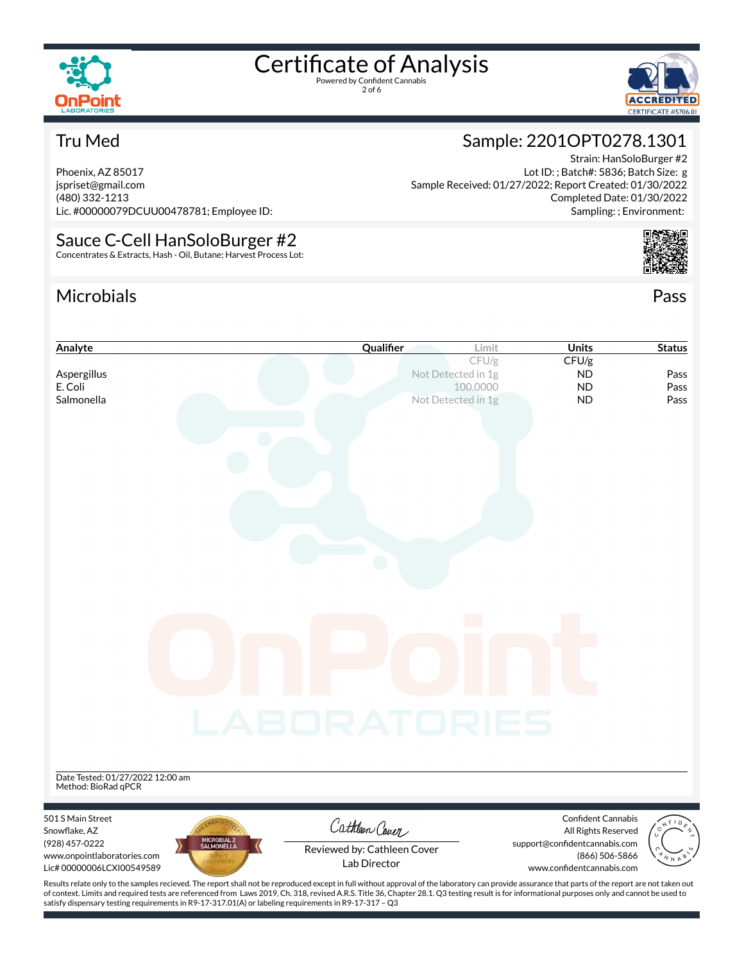

2 of 6



Strain: HanSoloBurger #2

Completed Date: 01/30/2022 Sampling: ; Environment:

Lot ID: ; Batch#: 5836; Batch Size: g

Sample: 2201OPT0278.1301

Sample Received: 01/27/2022; Report Created: 01/30/2022

#### Tru Med

Phoenix, AZ 85017 jspriset@gmail.com (480) 332-1213 Lic. #00000079DCUU00478781; Employee ID:

### Sauce C-Cell HanSoloBurger #2

Concentrates & Extracts, Hash - Oil, Butane; Harvest Process Lot:

#### Microbials Pass



| Analyte                                     | Qualifier                                                                                                                                                                                          | Limit                          | <b>Units</b>                              | <b>Status</b>        |
|---------------------------------------------|----------------------------------------------------------------------------------------------------------------------------------------------------------------------------------------------------|--------------------------------|-------------------------------------------|----------------------|
|                                             |                                                                                                                                                                                                    | CFU/g                          | CFU/g                                     |                      |
| Aspergillus                                 |                                                                                                                                                                                                    | Not Detected in 1g             | <b>ND</b>                                 | Pass                 |
| E. Coli<br>Salmonella                       |                                                                                                                                                                                                    | 100.0000<br>Not Detected in 1g | <b>ND</b><br><b>ND</b>                    | Pass<br>Pass         |
|                                             |                                                                                                                                                                                                    |                                |                                           |                      |
|                                             |                                                                                                                                                                                                    |                                |                                           |                      |
|                                             |                                                                                                                                                                                                    |                                |                                           |                      |
|                                             |                                                                                                                                                                                                    |                                |                                           |                      |
|                                             |                                                                                                                                                                                                    |                                |                                           |                      |
|                                             |                                                                                                                                                                                                    |                                |                                           |                      |
|                                             |                                                                                                                                                                                                    |                                |                                           |                      |
|                                             |                                                                                                                                                                                                    |                                |                                           |                      |
|                                             |                                                                                                                                                                                                    |                                |                                           |                      |
|                                             |                                                                                                                                                                                                    |                                |                                           |                      |
|                                             |                                                                                                                                                                                                    |                                |                                           |                      |
|                                             |                                                                                                                                                                                                    |                                |                                           |                      |
|                                             |                                                                                                                                                                                                    |                                |                                           |                      |
|                                             |                                                                                                                                                                                                    |                                |                                           |                      |
|                                             |                                                                                                                                                                                                    |                                |                                           |                      |
|                                             |                                                                                                                                                                                                    |                                |                                           |                      |
|                                             |                                                                                                                                                                                                    |                                |                                           |                      |
|                                             |                                                                                                                                                                                                    |                                |                                           |                      |
|                                             |                                                                                                                                                                                                    |                                |                                           |                      |
|                                             |                                                                                                                                                                                                    |                                |                                           |                      |
|                                             | LABORATORIES                                                                                                                                                                                       |                                |                                           |                      |
|                                             |                                                                                                                                                                                                    |                                |                                           |                      |
|                                             |                                                                                                                                                                                                    |                                |                                           |                      |
| Date Tested: 01/27/2022 12:00 am            |                                                                                                                                                                                                    |                                |                                           |                      |
| Method: BioRad qPCR                         |                                                                                                                                                                                                    |                                |                                           |                      |
|                                             |                                                                                                                                                                                                    |                                |                                           |                      |
| 501 S Main Street<br>Snowflake, AZ          | Cathleen Cover                                                                                                                                                                                     |                                | Confident Cannabis<br>All Rights Reserved |                      |
| MICROBIAL 2<br>SALMONELLA<br>(928) 457-0222 |                                                                                                                                                                                                    |                                | support@confidentcannabis.com             |                      |
| www.onpointlaboratories.com                 | Reviewed by: Cathleen Cover<br>Lab Director                                                                                                                                                        |                                | (866) 506-5866                            | $\sqrt[n]{\sqrt{N}}$ |
| Lic# 00000006LCXI00549589                   |                                                                                                                                                                                                    |                                | www.confidentcannabis.com                 |                      |
|                                             | Results relate only to the samples recieved. The report shall not be reproduced except in full without approval of the laboratory can provide assurance that parts of the report are not taken out |                                |                                           |                      |

of context. Limits and required tests are referenced from Laws 2019, Ch. 318, revised A.R.S. Title 36, Chapter 28.1. Q3 testing result is for informational purposes only and cannot be used to satisfy dispensary testing requirements in R9-17-317.01(A) or labeling requirements in R9-17-317 – Q3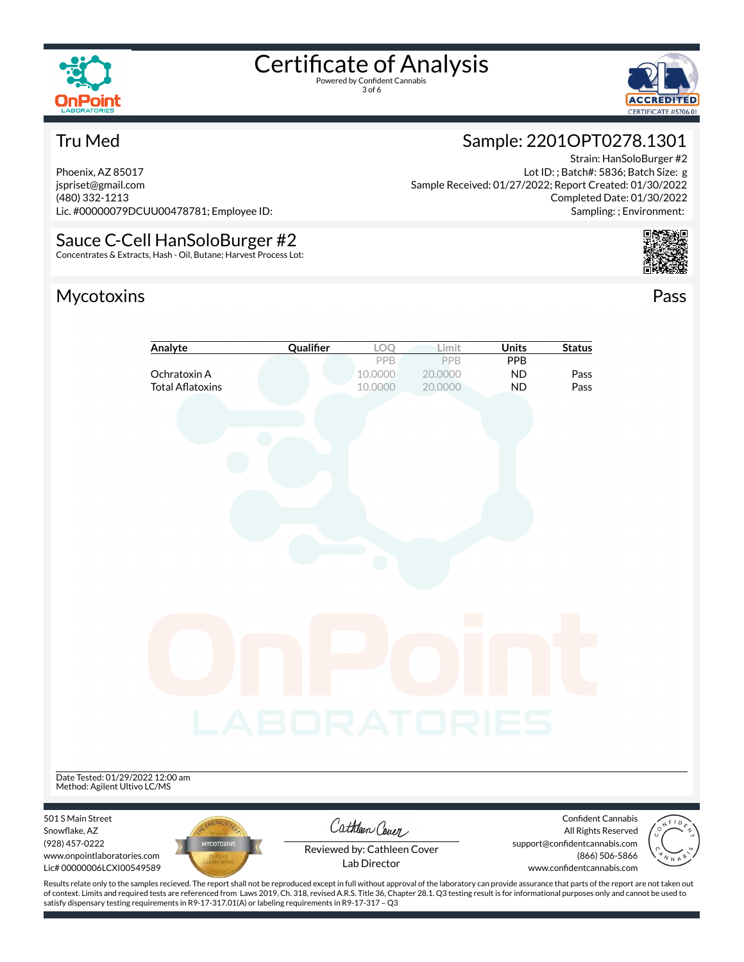

3 of 6



#### Tru Med

Phoenix, AZ 85017 jspriset@gmail.com (480) 332-1213 Lic. #00000079DCUU00478781; Employee ID:

### Sauce C-Cell HanSoloBurger #2

Concentrates & Extracts, Hash - Oil, Butane; Harvest Process Lot:

#### Mycotoxins Pass

### Strain: HanSoloBurger #2

Sample: 2201OPT0278.1301

Lot ID: ; Batch#: 5836; Batch Size: g Sample Received: 01/27/2022; Report Created: 01/30/2022 Completed Date: 01/30/2022 Sampling: ; Environment:



|                                                                                                                                                                                                                                                                                                   | Analyte                                 | Qualifier    | LOQ                                         | Limit                            | <b>Units</b>                  | <b>Status</b>                                                                                       |  |
|---------------------------------------------------------------------------------------------------------------------------------------------------------------------------------------------------------------------------------------------------------------------------------------------------|-----------------------------------------|--------------|---------------------------------------------|----------------------------------|-------------------------------|-----------------------------------------------------------------------------------------------------|--|
|                                                                                                                                                                                                                                                                                                   | Ochratoxin A<br><b>Total Aflatoxins</b> |              | PPB<br>10.0000<br>10.0000                   | <b>PPB</b><br>20.0000<br>20.0000 | PPB<br><b>ND</b><br><b>ND</b> | Pass<br>Pass                                                                                        |  |
|                                                                                                                                                                                                                                                                                                   |                                         |              |                                             |                                  |                               |                                                                                                     |  |
|                                                                                                                                                                                                                                                                                                   |                                         |              |                                             |                                  |                               |                                                                                                     |  |
|                                                                                                                                                                                                                                                                                                   |                                         |              |                                             |                                  |                               |                                                                                                     |  |
|                                                                                                                                                                                                                                                                                                   |                                         |              |                                             |                                  |                               |                                                                                                     |  |
| Date Tested: 01/29/2022 12:00 am                                                                                                                                                                                                                                                                  |                                         | LABORATORIES |                                             |                                  |                               |                                                                                                     |  |
| Method: Agilent Ultivo LC/MS<br>501 S Main Street                                                                                                                                                                                                                                                 |                                         |              | Cathleen Cover                              |                                  |                               | <b>Confident Cannabis</b>                                                                           |  |
| Snowflake, AZ<br>(928) 457-0222<br>www.onpointlaboratories.com<br>Lic# 00000006LCXI00549589<br>Results relate only to the samples recieved. The report shall not be reproduced except in full without approval of the laboratory can provide assurance that parts of the report are not taken out | <b>MYCOTOXINS</b>                       |              | Reviewed by: Cathleen Cover<br>Lab Director |                                  |                               | All Rights Reserved<br>support@confidentcannabis.com<br>(866) 506-5866<br>www.confidentcannabis.com |  |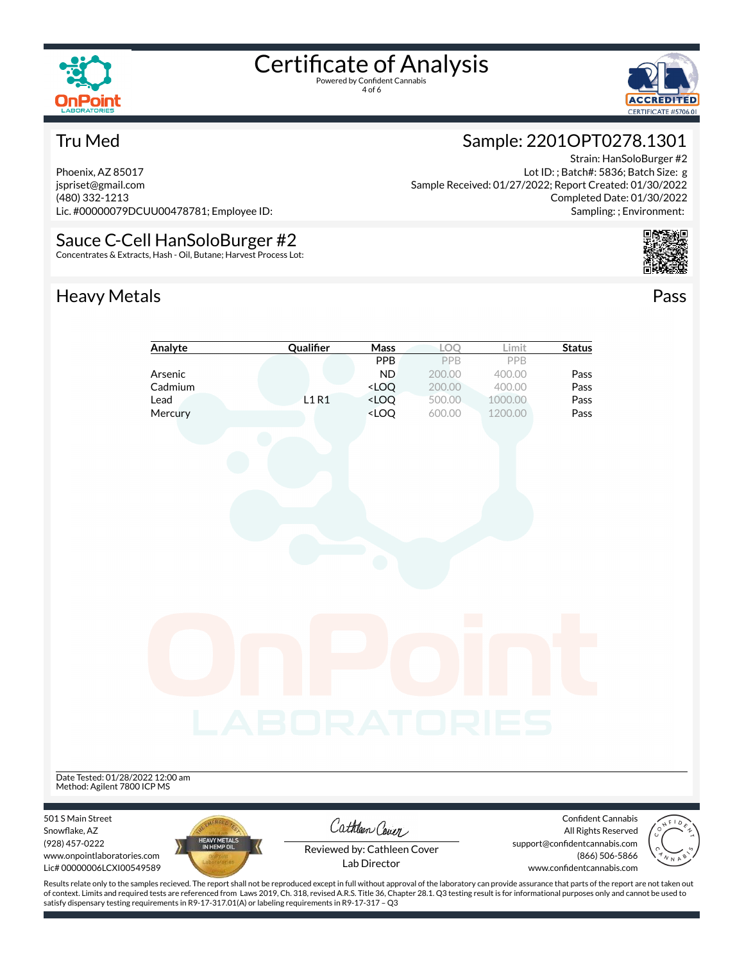

4 of 6



#### Tru Med

Phoenix, AZ 85017 jspriset@gmail.com (480) 332-1213 Lic. #00000079DCUU00478781; Employee ID:

#### Sauce C-Cell HanSoloBurger #2

Concentrates & Extracts, Hash - Oil, Butane; Harvest Process Lot:

### Heavy Metals **Pass**

#### Lot ID: ; Batch#: 5836; Batch Size: g Sample Received: 01/27/2022; Report Created: 01/30/2022 Completed Date: 01/30/2022

Sample: 2201OPT0278.1301

Sampling: ; Environment:

Strain: HanSoloBurger #2





of context. Limits and required tests are referenced from Laws 2019, Ch. 318, revised A.R.S. Title 36, Chapter 28.1. Q3 testing result is for informational purposes only and cannot be used to satisfy dispensary testing requirements in R9-17-317.01(A) or labeling requirements in R9-17-317 – Q3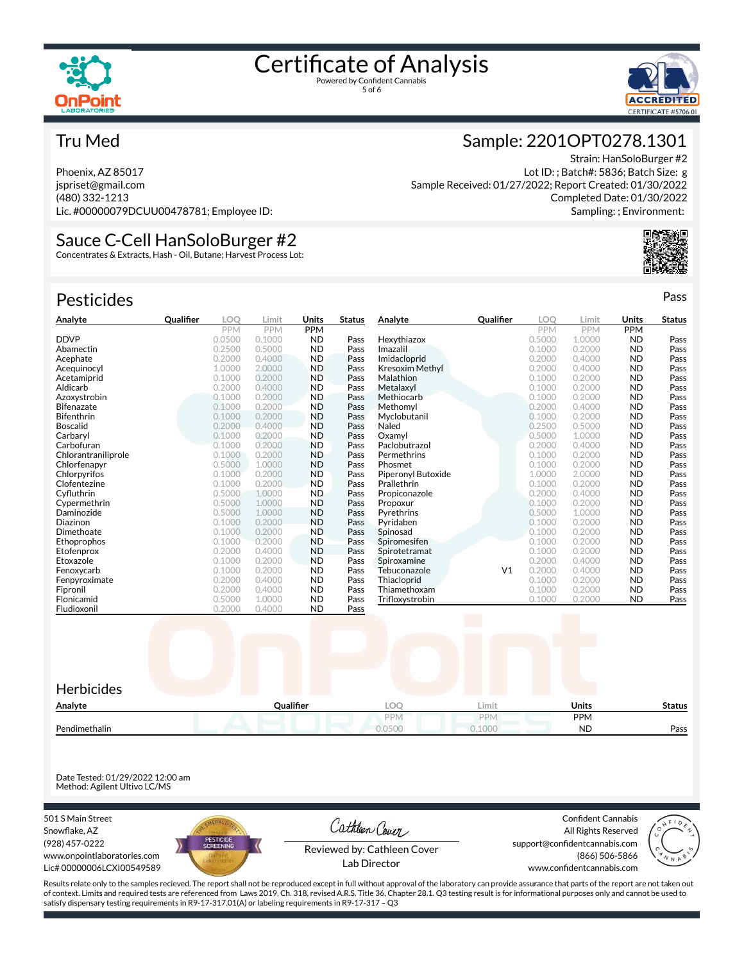



Strain: HanSoloBurger #2

Completed Date: 01/30/2022 Sampling: ; Environment:

Lot ID: ; Batch#: 5836; Batch Size: g

Sample: 2201OPT0278.1301

Sample Received: 01/27/2022; Report Created: 01/30/2022

#### Tru Med

Phoenix, AZ 85017 jspriset@gmail.com (480) 332-1213 Lic. #00000079DCUU00478781; Employee ID:

### Sauce C-Cell HanSoloBurger #2

Concentrates & Extracts, Hash - Oil, Butane; Harvest Process Lot:

| <b>Pesticides</b>   |           |            |            |            |               |                        |                |            |            |            | Pass          |
|---------------------|-----------|------------|------------|------------|---------------|------------------------|----------------|------------|------------|------------|---------------|
| Analyte             | Qualifier | LOO        | Limit      | Units      | <b>Status</b> | Analyte                | Qualifier      | LOO        | Limit      | Units      | <b>Status</b> |
|                     |           | <b>PPM</b> | <b>PPM</b> | <b>PPM</b> |               |                        |                | <b>PPM</b> | <b>PPM</b> | <b>PPM</b> |               |
| <b>DDVP</b>         |           | 0.0500     | 0.1000     | <b>ND</b>  | Pass          | Hexythiazox            |                | 0.5000     | 1.0000     | <b>ND</b>  | Pass          |
| Abamectin           |           | 0.2500     | 0.5000     | <b>ND</b>  | Pass          | Imazalil               |                | 0.1000     | 0.2000     | <b>ND</b>  | Pass          |
| Acephate            |           | 0.2000     | 0.4000     | <b>ND</b>  | Pass          | Imidacloprid           |                | 0.2000     | 0.4000     | <b>ND</b>  | Pass          |
| Acequinocyl         |           | 1.0000     | 2.0000     | <b>ND</b>  | Pass          | <b>Kresoxim Methyl</b> |                | 0.2000     | 0.4000     | <b>ND</b>  | Pass          |
| Acetamiprid         |           | 0.1000     | 0.2000     | <b>ND</b>  | Pass          | Malathion              |                | 0.1000     | 0.2000     | <b>ND</b>  | Pass          |
| Aldicarb            |           | 0.2000     | 0.4000     | <b>ND</b>  | Pass          | Metalaxyl              |                | 0.1000     | 0.2000     | <b>ND</b>  | Pass          |
| Azoxystrobin        |           | 0.1000     | 0.2000     | <b>ND</b>  | Pass          | Methiocarb             |                | 0.1000     | 0.2000     | <b>ND</b>  | Pass          |
| <b>Bifenazate</b>   |           | 0.1000     | 0.2000     | <b>ND</b>  | Pass          | Methomyl               |                | 0.2000     | 0.4000     | <b>ND</b>  | Pass          |
| Bifenthrin          |           | 0.1000     | 0.2000     | <b>ND</b>  | Pass          | Myclobutanil           |                | 0.1000     | 0.2000     | <b>ND</b>  | Pass          |
| <b>Boscalid</b>     |           | 0.2000     | 0.4000     | <b>ND</b>  | Pass          | Naled                  |                | 0.2500     | 0.5000     | <b>ND</b>  | Pass          |
| Carbarvl            |           | 0.1000     | 0.2000     | <b>ND</b>  | Pass          | Oxamvl                 |                | 0.5000     | 1.0000     | <b>ND</b>  | Pass          |
| Carbofuran          |           | 0.1000     | 0.2000     | <b>ND</b>  | Pass          | Paclobutrazol          |                | 0.2000     | 0.4000     | <b>ND</b>  | Pass          |
| Chlorantraniliprole |           | 0.1000     | 0.2000     | <b>ND</b>  | Pass          | Permethrins            |                | 0.1000     | 0.2000     | <b>ND</b>  | Pass          |
| Chlorfenapyr        |           | 0.5000     | 1.0000     | <b>ND</b>  | Pass          | Phosmet                |                | 0.1000     | 0.2000     | <b>ND</b>  | Pass          |
| Chlorpyrifos        |           | 0.1000     | 0.2000     | <b>ND</b>  | Pass          | Piperonyl Butoxide     |                | 1.0000     | 2.0000     | <b>ND</b>  | Pass          |
| Clofentezine        |           | 0.1000     | 0.2000     | <b>ND</b>  | Pass          | Prallethrin            |                | 0.1000     | 0.2000     | <b>ND</b>  | Pass          |
| Cyfluthrin          |           | 0.5000     | 1.0000     | <b>ND</b>  | Pass          | Propiconazole          |                | 0.2000     | 0.4000     | <b>ND</b>  | Pass          |
| Cypermethrin        |           | 0.5000     | 1.0000     | <b>ND</b>  | Pass          | Propoxur               |                | 0.1000     | 0.2000     | <b>ND</b>  | Pass          |
| Daminozide          |           | 0.5000     | 1.0000     | <b>ND</b>  | Pass          | Pyrethrins             |                | 0.5000     | 1.0000     | <b>ND</b>  | Pass          |
| Diazinon            |           | 0.1000     | 0.2000     | <b>ND</b>  | Pass          | Pyridaben              |                | 0.1000     | 0.2000     | <b>ND</b>  | Pass          |
| Dimethoate          |           | 0.1000     | 0.2000     | <b>ND</b>  | Pass          | Spinosad               |                | 0.1000     | 0.2000     | <b>ND</b>  | Pass          |
| Ethoprophos         |           | 0.1000     | 0.2000     | <b>ND</b>  | Pass          | Spiromesifen           |                | 0.1000     | 0.2000     | <b>ND</b>  | Pass          |
| Etofenprox          |           | 0.2000     | 0.4000     | <b>ND</b>  | Pass          | Spirotetramat          |                | 0.1000     | 0.2000     | <b>ND</b>  | Pass          |
| Etoxazole           |           | 0.1000     | 0.2000     | <b>ND</b>  | Pass          | Spiroxamine            |                | 0.2000     | 0.4000     | <b>ND</b>  | Pass          |
| Fenoxycarb          |           | 0.1000     | 0.2000     | <b>ND</b>  | Pass          | Tebuconazole           | V <sub>1</sub> | 0.2000     | 0.4000     | <b>ND</b>  | Pass          |
| Fenpyroximate       |           | 0.2000     | 0.4000     | <b>ND</b>  | Pass          | Thiacloprid            |                | 0.1000     | 0.2000     | <b>ND</b>  | Pass          |
| Fipronil            |           | 0.2000     | 0.4000     | <b>ND</b>  | Pass          | Thiamethoxam           |                | 0.1000     | 0.2000     | <b>ND</b>  | Pass          |
| Flonicamid          |           | 0.5000     | 1.0000     | <b>ND</b>  | Pass          | Trifloxystrobin        |                | 0.1000     | 0.2000     | <b>ND</b>  | Pass          |
| Fludioxonil         |           | 0.2000     | 0.4000     | <b>ND</b>  | Pass          |                        |                |            |            |            |               |



Date Tested: 01/29/2022 12:00 am Method: Agilent Ultivo LC/MS

501 S Main Street Snowflake, AZ (928) 457-0222 www.onpointlaboratories.com Lic# 00000006LCXI00549589



Cathleen Cover

Confident Cannabis All Rights Reserved support@confidentcannabis.com (866) 506-5866



Reviewed by: Cathleen Cover Lab Director

www.confidentcannabis.com